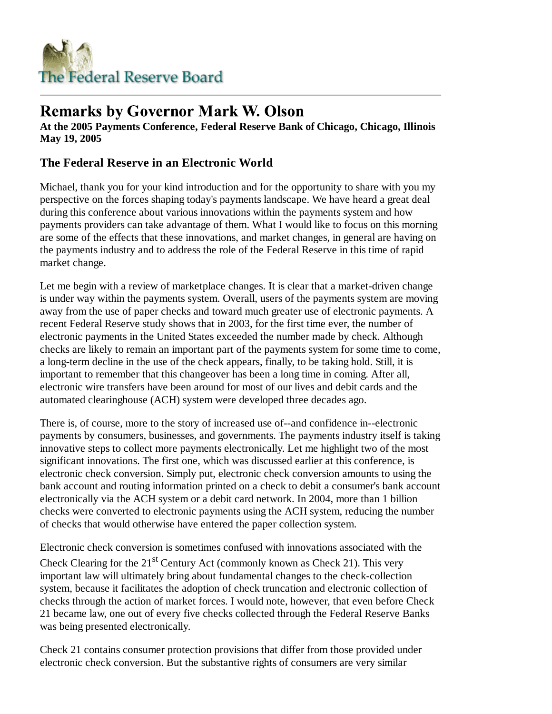

## **Remarks by Governor Mark W. Olson**

**At the 2005 Payments Conference, Federal Reserve Bank of Chicago, Chicago, Illinois May 19, 2005**

## **The Federal Reserve in an Electronic World**

Michael, thank you for your kind introduction and for the opportunity to share with you my perspective on the forces shaping today's payments landscape. We have heard a great deal during this conference about various innovations within the payments system and how payments providers can take advantage of them. What I would like to focus on this morning are some of the effects that these innovations, and market changes, in general are having on the payments industry and to address the role of the Federal Reserve in this time of rapid market change.

Let me begin with a review of marketplace changes. It is clear that a market-driven change is under way within the payments system. Overall, users of the payments system are moving away from the use of paper checks and toward much greater use of electronic payments. A recent Federal Reserve study shows that in 2003, for the first time ever, the number of electronic payments in the United States exceeded the number made by check. Although checks are likely to remain an important part of the payments system for some time to come, a long-term decline in the use of the check appears, finally, to be taking hold. Still, it is important to remember that this changeover has been a long time in coming. After all, electronic wire transfers have been around for most of our lives and debit cards and the automated clearinghouse (ACH) system were developed three decades ago.

There is, of course, more to the story of increased use of--and confidence in--electronic payments by consumers, businesses, and governments. The payments industry itself is taking innovative steps to collect more payments electronically. Let me highlight two of the most significant innovations. The first one, which was discussed earlier at this conference, is electronic check conversion. Simply put, electronic check conversion amounts to using the bank account and routing information printed on a check to debit a consumer's bank account electronically via the ACH system or a debit card network. In 2004, more than 1 billion checks were converted to electronic payments using the ACH system, reducing the number of checks that would otherwise have entered the paper collection system.

Electronic check conversion is sometimes confused with innovations associated with the Check Clearing for the  $21<sup>st</sup>$  Century Act (commonly known as Check 21). This very important law will ultimately bring about fundamental changes to the check-collection system, because it facilitates the adoption of check truncation and electronic collection of checks through the action of market forces. I would note, however, that even before Check 21 became law, one out of every five checks collected through the Federal Reserve Banks was being presented electronically.

Check 21 contains consumer protection provisions that differ from those provided under electronic check conversion. But the substantive rights of consumers are very similar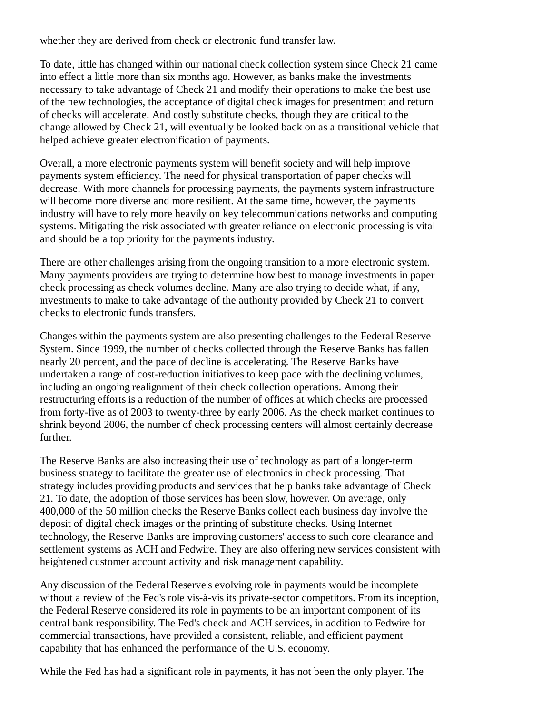whether they are derived from check or electronic fund transfer law.

To date, little has changed within our national check collection system since Check 21 came into effect a little more than six months ago. However, as banks make the investments necessary to take advantage of Check 21 and modify their operations to make the best use of the new technologies, the acceptance of digital check images for presentment and return of checks will accelerate. And costly substitute checks, though they are critical to the change allowed by Check 21, will eventually be looked back on as a transitional vehicle that helped achieve greater electronification of payments.

Overall, a more electronic payments system will benefit society and will help improve payments system efficiency. The need for physical transportation of paper checks will decrease. With more channels for processing payments, the payments system infrastructure will become more diverse and more resilient. At the same time, however, the payments industry will have to rely more heavily on key telecommunications networks and computing systems. Mitigating the risk associated with greater reliance on electronic processing is vital and should be a top priority for the payments industry.

There are other challenges arising from the ongoing transition to a more electronic system. Many payments providers are trying to determine how best to manage investments in paper check processing as check volumes decline. Many are also trying to decide what, if any, investments to make to take advantage of the authority provided by Check 21 to convert checks to electronic funds transfers.

Changes within the payments system are also presenting challenges to the Federal Reserve System. Since 1999, the number of checks collected through the Reserve Banks has fallen nearly 20 percent, and the pace of decline is accelerating. The Reserve Banks have undertaken a range of cost-reduction initiatives to keep pace with the declining volumes, including an ongoing realignment of their check collection operations. Among their restructuring efforts is a reduction of the number of offices at which checks are processed from forty-five as of 2003 to twenty-three by early 2006. As the check market continues to shrink beyond 2006, the number of check processing centers will almost certainly decrease further.

The Reserve Banks are also increasing their use of technology as part of a longer-term business strategy to facilitate the greater use of electronics in check processing. That strategy includes providing products and services that help banks take advantage of Check 21. To date, the adoption of those services has been slow, however. On average, only 400,000 of the 50 million checks the Reserve Banks collect each business day involve the deposit of digital check images or the printing of substitute checks. Using Internet technology, the Reserve Banks are improving customers' access to such core clearance and settlement systems as ACH and Fedwire. They are also offering new services consistent with heightened customer account activity and risk management capability.

Any discussion of the Federal Reserve's evolving role in payments would be incomplete without a review of the Fed's role vis-à-vis its private-sector competitors. From its inception, the Federal Reserve considered its role in payments to be an important component of its central bank responsibility. The Fed's check and ACH services, in addition to Fedwire for commercial transactions, have provided a consistent, reliable, and efficient payment capability that has enhanced the performance of the U.S. economy.

While the Fed has had a significant role in payments, it has not been the only player. The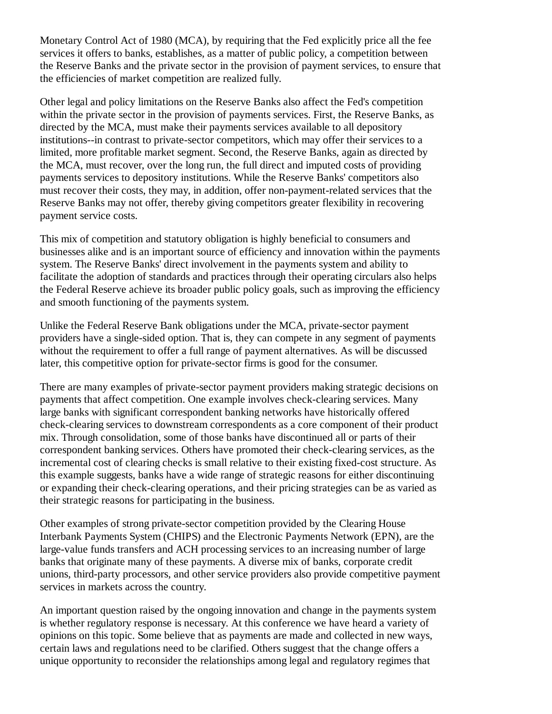Monetary Control Act of 1980 (MCA), by requiring that the Fed explicitly price all the fee services it offers to banks, establishes, as a matter of public policy, a competition between the Reserve Banks and the private sector in the provision of payment services, to ensure that the efficiencies of market competition are realized fully.

Other legal and policy limitations on the Reserve Banks also affect the Fed's competition within the private sector in the provision of payments services. First, the Reserve Banks, as directed by the MCA, must make their payments services available to all depository institutions--in contrast to private-sector competitors, which may offer their services to a limited, more profitable market segment. Second, the Reserve Banks, again as directed by the MCA, must recover, over the long run, the full direct and imputed costs of providing payments services to depository institutions. While the Reserve Banks' competitors also must recover their costs, they may, in addition, offer non-payment-related services that the Reserve Banks may not offer, thereby giving competitors greater flexibility in recovering payment service costs.

This mix of competition and statutory obligation is highly beneficial to consumers and businesses alike and is an important source of efficiency and innovation within the payments system. The Reserve Banks' direct involvement in the payments system and ability to facilitate the adoption of standards and practices through their operating circulars also helps the Federal Reserve achieve its broader public policy goals, such as improving the efficiency and smooth functioning of the payments system.

Unlike the Federal Reserve Bank obligations under the MCA, private-sector payment providers have a single-sided option. That is, they can compete in any segment of payments without the requirement to offer a full range of payment alternatives. As will be discussed later, this competitive option for private-sector firms is good for the consumer.

There are many examples of private-sector payment providers making strategic decisions on payments that affect competition. One example involves check-clearing services. Many large banks with significant correspondent banking networks have historically offered check-clearing services to downstream correspondents as a core component of their product mix. Through consolidation, some of those banks have discontinued all or parts of their correspondent banking services. Others have promoted their check-clearing services, as the incremental cost of clearing checks is small relative to their existing fixed-cost structure. As this example suggests, banks have a wide range of strategic reasons for either discontinuing or expanding their check-clearing operations, and their pricing strategies can be as varied as their strategic reasons for participating in the business.

Other examples of strong private-sector competition provided by the Clearing House Interbank Payments System (CHIPS) and the Electronic Payments Network (EPN), are the large-value funds transfers and ACH processing services to an increasing number of large banks that originate many of these payments. A diverse mix of banks, corporate credit unions, third-party processors, and other service providers also provide competitive payment services in markets across the country.

An important question raised by the ongoing innovation and change in the payments system is whether regulatory response is necessary. At this conference we have heard a variety of opinions on this topic. Some believe that as payments are made and collected in new ways, certain laws and regulations need to be clarified. Others suggest that the change offers a unique opportunity to reconsider the relationships among legal and regulatory regimes that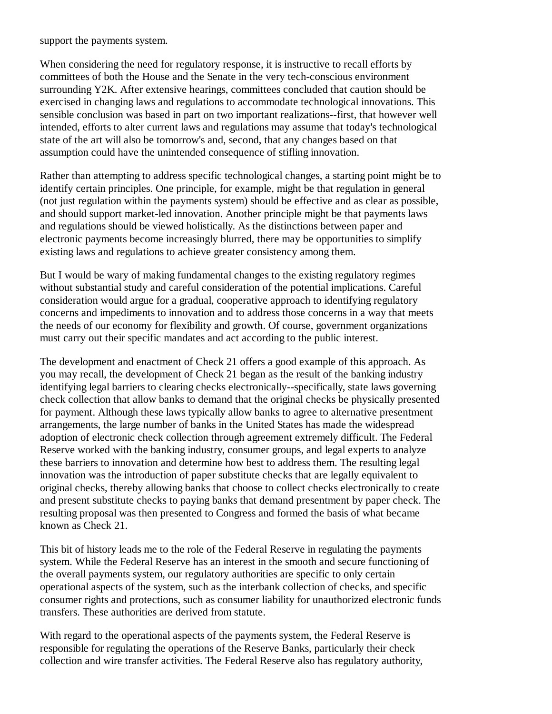support the payments system.

When considering the need for regulatory response, it is instructive to recall efforts by committees of both the House and the Senate in the very tech-conscious environment surrounding Y2K. After extensive hearings, committees concluded that caution should be exercised in changing laws and regulations to accommodate technological innovations. This sensible conclusion was based in part on two important realizations--first, that however well intended, efforts to alter current laws and regulations may assume that today's technological state of the art will also be tomorrow's and, second, that any changes based on that assumption could have the unintended consequence of stifling innovation.

Rather than attempting to address specific technological changes, a starting point might be to identify certain principles. One principle, for example, might be that regulation in general (not just regulation within the payments system) should be effective and as clear as possible, and should support market-led innovation. Another principle might be that payments laws and regulations should be viewed holistically. As the distinctions between paper and electronic payments become increasingly blurred, there may be opportunities to simplify existing laws and regulations to achieve greater consistency among them.

But I would be wary of making fundamental changes to the existing regulatory regimes without substantial study and careful consideration of the potential implications. Careful consideration would argue for a gradual, cooperative approach to identifying regulatory concerns and impediments to innovation and to address those concerns in a way that meets the needs of our economy for flexibility and growth. Of course, government organizations must carry out their specific mandates and act according to the public interest.

The development and enactment of Check 21 offers a good example of this approach. As you may recall, the development of Check 21 began as the result of the banking industry identifying legal barriers to clearing checks electronically--specifically, state laws governing check collection that allow banks to demand that the original checks be physically presented for payment. Although these laws typically allow banks to agree to alternative presentment arrangements, the large number of banks in the United States has made the widespread adoption of electronic check collection through agreement extremely difficult. The Federal Reserve worked with the banking industry, consumer groups, and legal experts to analyze these barriers to innovation and determine how best to address them. The resulting legal innovation was the introduction of paper substitute checks that are legally equivalent to original checks, thereby allowing banks that choose to collect checks electronically to create and present substitute checks to paying banks that demand presentment by paper check. The resulting proposal was then presented to Congress and formed the basis of what became known as Check 21.

This bit of history leads me to the role of the Federal Reserve in regulating the payments system. While the Federal Reserve has an interest in the smooth and secure functioning of the overall payments system, our regulatory authorities are specific to only certain operational aspects of the system, such as the interbank collection of checks, and specific consumer rights and protections, such as consumer liability for unauthorized electronic funds transfers. These authorities are derived from statute.

With regard to the operational aspects of the payments system, the Federal Reserve is responsible for regulating the operations of the Reserve Banks, particularly their check collection and wire transfer activities. The Federal Reserve also has regulatory authority,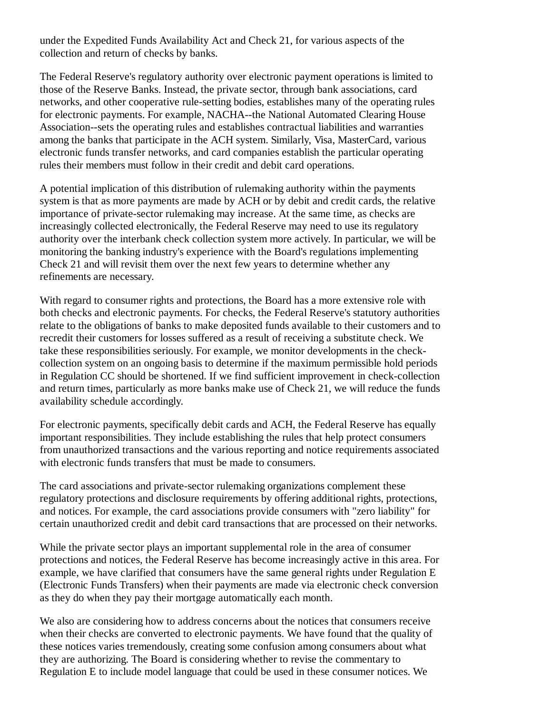under the Expedited Funds Availability Act and Check 21, for various aspects of the collection and return of checks by banks.

The Federal Reserve's regulatory authority over electronic payment operations is limited to those of the Reserve Banks. Instead, the private sector, through bank associations, card networks, and other cooperative rule-setting bodies, establishes many of the operating rules for electronic payments. For example, NACHA--the National Automated Clearing House Association--sets the operating rules and establishes contractual liabilities and warranties among the banks that participate in the ACH system. Similarly, Visa, MasterCard, various electronic funds transfer networks, and card companies establish the particular operating rules their members must follow in their credit and debit card operations.

A potential implication of this distribution of rulemaking authority within the payments system is that as more payments are made by ACH or by debit and credit cards, the relative importance of private-sector rulemaking may increase. At the same time, as checks are increasingly collected electronically, the Federal Reserve may need to use its regulatory authority over the interbank check collection system more actively. In particular, we will be monitoring the banking industry's experience with the Board's regulations implementing Check 21 and will revisit them over the next few years to determine whether any refinements are necessary.

With regard to consumer rights and protections, the Board has a more extensive role with both checks and electronic payments. For checks, the Federal Reserve's statutory authorities relate to the obligations of banks to make deposited funds available to their customers and to recredit their customers for losses suffered as a result of receiving a substitute check. We take these responsibilities seriously. For example, we monitor developments in the checkcollection system on an ongoing basis to determine if the maximum permissible hold periods in Regulation CC should be shortened. If we find sufficient improvement in check-collection and return times, particularly as more banks make use of Check 21, we will reduce the funds availability schedule accordingly.

For electronic payments, specifically debit cards and ACH, the Federal Reserve has equally important responsibilities. They include establishing the rules that help protect consumers from unauthorized transactions and the various reporting and notice requirements associated with electronic funds transfers that must be made to consumers.

The card associations and private-sector rulemaking organizations complement these regulatory protections and disclosure requirements by offering additional rights, protections, and notices. For example, the card associations provide consumers with "zero liability" for certain unauthorized credit and debit card transactions that are processed on their networks.

While the private sector plays an important supplemental role in the area of consumer protections and notices, the Federal Reserve has become increasingly active in this area. For example, we have clarified that consumers have the same general rights under Regulation E (Electronic Funds Transfers) when their payments are made via electronic check conversion as they do when they pay their mortgage automatically each month.

We also are considering how to address concerns about the notices that consumers receive when their checks are converted to electronic payments. We have found that the quality of these notices varies tremendously, creating some confusion among consumers about what they are authorizing. The Board is considering whether to revise the commentary to Regulation E to include model language that could be used in these consumer notices. We